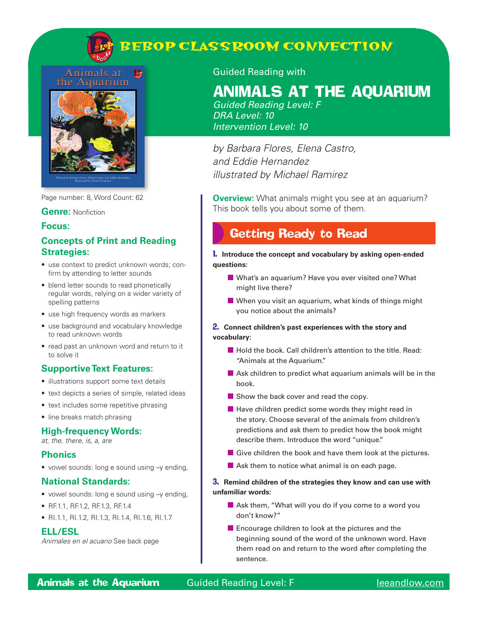

# **BEBOP CLASSROOM CONNECTION**

#### Animals at **D** the Aquarium



Page number: 8, Word Count: 62

#### **Genre:** Nonfiction

#### **Focus:**

## **Concepts of Print and Reading Strategies:**

- use context to predict unknown words; confirm by attending to letter sounds
- blend letter sounds to read phonetically regular words, relying on a wider variety of spelling patterns
- use high frequency words as markers
- use background and vocabulary knowledge to read unknown words
- read past an unknown word and return to it to solve it

## **Supportive Text Features:**

- illustrations support some text details
- text depicts a series of simple, related ideas
- text includes some repetitive phrasing
- line breaks match phrasing

## **High-frequency Words:**

*at, the, there, is, a, are*

### **Phonics**

• vowel sounds: long e sound using –y ending,

### **National Standards:**

- vowel sounds: long e sound using –y ending,
- RF.1.1, RF.1.2, RF.1.3, RF.1.4
- RI.1.1, RI.1.2, RI.1.3, RI.1.4, RI.1.6, RI.1.7

### **ELL/ESL**

*Animales en el acuario* See back page

### Guided Reading with

# Animals at the Aquarium

*Guided Reading Level: F DRA Level: 10 Intervention Level: 10*

*by Barbara Flores, Elena Castro, and Eddie Hernandez illustrated by Michael Ramirez*

**Overview:** What animals might you see at an aquarium? This book tells you about some of them.

## Getting Ready to Read

1. **Introduce the concept and vocabulary by asking open-ended questions:**

- What's an aquarium? Have you ever visited one? What might live there?
- When you visit an aquarium, what kinds of things might you notice about the animals?

#### 2. **Connect children's past experiences with the story and vocabulary:**

- Hold the book. Call children's attention to the title. Read: "Animals at the Aquarium."
- Ask children to predict what aquarium animals will be in the book.
- Show the back cover and read the copy.
- $\blacksquare$  Have children predict some words they might read in the story. Choose several of the animals from children's predictions and ask them to predict how the book might describe them. Introduce the word "unique."
- $\blacksquare$  Give children the book and have them look at the pictures.
- $\blacksquare$  Ask them to notice what animal is on each page.

#### 3. **Remind children of the strategies they know and can use with unfamiliar words:**

- Ask them, "What will you do if you come to a word you don't know?"
- Encourage children to look at the pictures and the beginning sound of the word of the unknown word. Have them read on and return to the word after completing the sentence.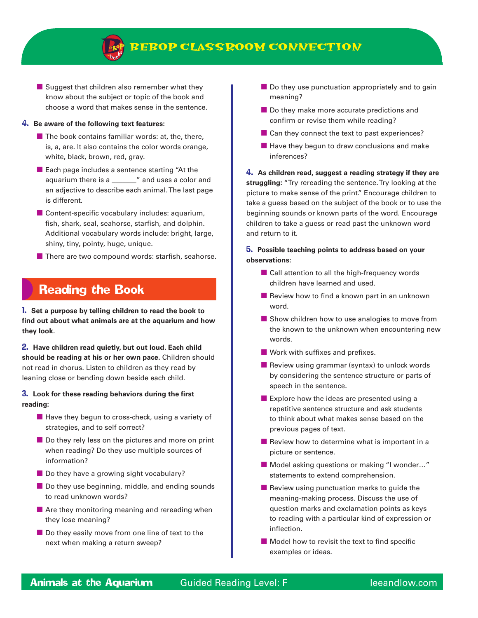

■ Suggest that children also remember what they know about the subject or topic of the book and choose a word that makes sense in the sentence.

#### 4. **Be aware of the following text features:**

- $\blacksquare$  The book contains familiar words: at, the, there, is, a, are. It also contains the color words orange, white, black, brown, red, gray.
- Each page includes a sentence starting "At the aquarium there is a \_\_\_\_\_\_\_" and uses a color and an adjective to describe each animal. The last page is different.
- Content-specific vocabulary includes: aquarium, fish, shark, seal, seahorse, starfish, and dolphin. Additional vocabulary words include: bright, large, shiny, tiny, pointy, huge, unique.
- There are two compound words: starfish, seahorse.

## Reading the Book

1. **Set a purpose by telling children to read the book to find out about what animals are at the aquarium and how they look.**

2. **Have children read quietly, but out loud. Each child should be reading at his or her own pace.** Children should not read in chorus. Listen to children as they read by leaning close or bending down beside each child.

#### 3. **Look for these reading behaviors during the first reading:**

- $\blacksquare$  Have they begun to cross-check, using a variety of strategies, and to self correct?
- Do they rely less on the pictures and more on print when reading? Do they use multiple sources of information?
- Do they have a growing sight vocabulary?
- Do they use beginning, middle, and ending sounds to read unknown words?
- Are they monitoring meaning and rereading when they lose meaning?
- Do they easily move from one line of text to the next when making a return sweep?
- Do they use punctuation appropriately and to gain meaning?
- Do they make more accurate predictions and confirm or revise them while reading?
- Can they connect the text to past experiences?
- Have they begun to draw conclusions and make inferences?

4. **As children read, suggest a reading strategy if they are struggling:** "Try rereading the sentence. Try looking at the picture to make sense of the print." Encourage children to take a guess based on the subject of the book or to use the beginning sounds or known parts of the word. Encourage children to take a guess or read past the unknown word and return to it.

#### 5. **Possible teaching points to address based on your observations:**

- Call attention to all the high-frequency words children have learned and used.
- Review how to find a known part in an unknown word.
- Show children how to use analogies to move from the known to the unknown when encountering new words.
- Work with suffixes and prefixes.
- Review using grammar (syntax) to unlock words by considering the sentence structure or parts of speech in the sentence.
- Explore how the ideas are presented using a repetitive sentence structure and ask students to think about what makes sense based on the previous pages of text.
- Review how to determine what is important in a picture or sentence.
- Model asking questions or making "I wonder..." statements to extend comprehension.
- Review using punctuation marks to quide the meaning-making process. Discuss the use of question marks and exclamation points as keys to reading with a particular kind of expression or inflection.
- Model how to revisit the text to find specific examples or ideas.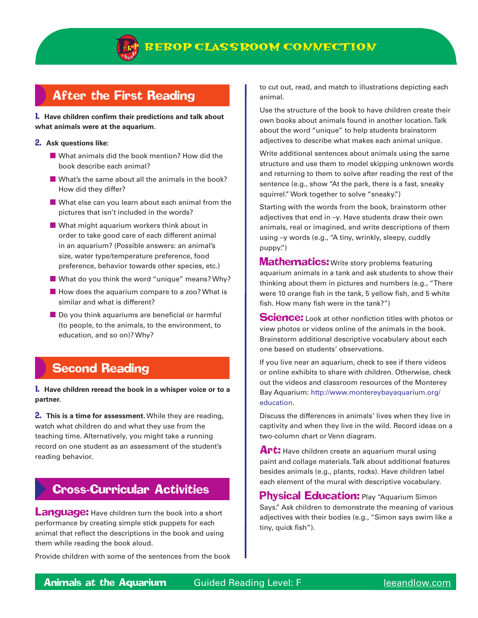

## After the First Reading

1. **Have children confirm their predictions and talk about what animals were at the aquarium.**

#### 2. **Ask questions like:**

- What animals did the book mention? How did the book describe each animal?
- What's the same about all the animals in the book? How did they differ?
- What else can you learn about each animal from the pictures that isn't included in the words?
- What might aquarium workers think about in order to take good care of each different animal in an aquarium? (Possible answers: an animal's size, water type/temperature preference, food preference, behavior towards other species, etc.)
- What do you think the word "unique" means? Why?
- How does the aquarium compare to a zoo? What is similar and what is different?
- Do you think aquariums are beneficial or harmful (to people, to the animals, to the environment, to education, and so on)? Why?

## Second Reading

#### 1. **Have children reread the book in a whisper voice or to a partner.**

2. **This is a time for assessment.** While they are reading, watch what children do and what they use from the teaching time. Alternatively, you might take a running record on one student as an assessment of the student's reading behavior.

## Cross-Curricular Activities

**Language:** Have children turn the book into a short performance by creating simple stick puppets for each animal that reflect the descriptions in the book and using them while reading the book aloud.

Provide children with some of the sentences from the book

to cut out, read, and match to illustrations depicting each animal.

Use the structure of the book to have children create their own books about animals found in another location. Talk about the word "unique" to help students brainstorm adjectives to describe what makes each animal unique.

Write additional sentences about animals using the same structure and use them to model skipping unknown words and returning to them to solve after reading the rest of the sentence (e.g., show "At the park, there is a fast, sneaky squirrel." Work together to solve "sneaky.")

Starting with the words from the book, brainstorm other adjectives that end in –y. Have students draw their own animals, real or imagined, and write descriptions of them using –y words (e.g., "A tiny, wrinkly, sleepy, cuddly puppy.")

**Mathematics:** Write story problems featuring aquarium animals in a tank and ask students to show their thinking about them in pictures and numbers (e.g., "There were 10 orange fish in the tank, 5 yellow fish, and 5 white fish. How many fish were in the tank?")

**Science:** Look at other nonfiction titles with photos or view photos or videos online of the animals in the book. Brainstorm additional descriptive vocabulary about each one based on students' observations.

If you live near an aquarium, check to see if there videos or online exhibits to share with children. Otherwise, check out the videos and classroom resources of the Monterey Bay Aquarium: http://www.montereybayaquarium.org/ education.

Discuss the differences in animals' lives when they live in captivity and when they live in the wild. Record ideas on a two-column chart or Venn diagram.

Art: Have children create an aquarium mural using paint and collage materials. Talk about additional features besides animals (e.g., plants, rocks). Have children label each element of the mural with descriptive vocabulary.

**Physical Education: Play "Aquarium Simon** Says." Ask children to demonstrate the meaning of various adjectives with their bodies (e.g., "Simon says swim like a tiny, quick fish").